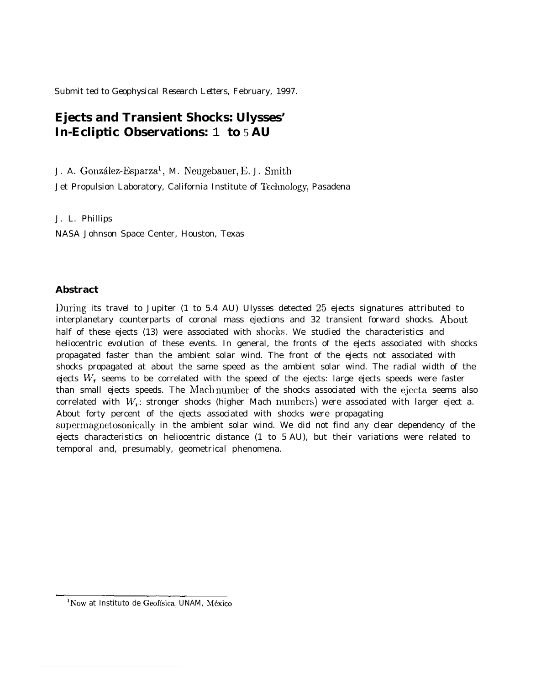Submit ted to *Geophysical Research Letters,* February, 1997.

# **Ejects and Transient Shocks: Ulysses' In-Ecliptic Observations:** 1 **to** 5 **AU**

J. A. González-Esparza<sup>1</sup>, M. Neugebauer, E. J. Smith

Jet Propulsion Laboratory, California Institute of Technology, Pasadena

J. L. Phillips

NASA Johnson Space Center, Houston, Texas

## **Abstract**

During its travel to Jupiter (1 to 5.4 AU) Ulysses detected 25 ejects signatures attributed to interplanetary counterparts of coronal mass ejections and 32 transient forward shocks. About half of these ejects (13) were associated with shocks. We studied the characteristics and heliocentric evolution of these events. In general, the fronts of the ejects associated with shocks propagated faster than the ambient solar wind. The front of the ejects not associated with shocks propagated at about the same speed as the ambient solar wind. The radial width of the ejects  $W_r$  seems to be correlated with the speed of the ejects: large ejects speeds were faster than small ejects speeds. The Mach number of the shocks associated with the ejecta seems also correlated with  $W_r$ : stronger shocks (higher Mach numbers) were associated with larger eject a. About forty percent of the ejects associated with shocks were propagating supermagnetosonically in the ambient solar wind. We did not find any clear dependency of the ejects characteristics on heliocentric distance (1 to *5* AU), but their variations were related to temporal and, presumably, geometrical phenomena.

<sup>—</sup>  $\frac{1}{\sqrt{2}}$  $\rm ^1$ Now at Instituto de Geofísica, UNAM, México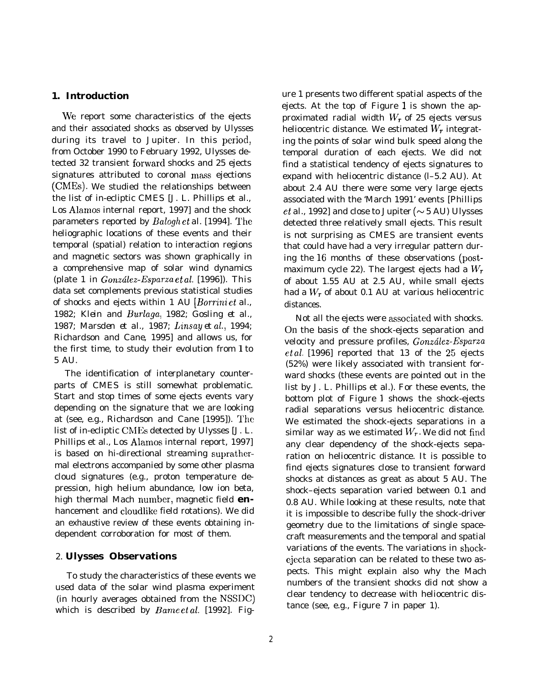## **1. Introduction**

We report some characteristics of the ejects and their associated shocks as observed by Ulysses during its travel to Jupiter. In this period, from October 1990 to February 1992, Ulysses detected 32 transient forward shocks and 25 ejects signatures attributed to coronal mass ejections (CMES). We studied the relationships between the list of in-ecliptic CMES [J. L. Phillips et al., Los Alamos internal report, 1997] and the shock parameters reported by *Balogh et al.* [1994]. The heliographic locations of these events and their temporal (spatial) relation to interaction regions and magnetic sectors was shown graphically in a comprehensive map of solar wind dynamics (plate 1 in *González-Esparza et al. [1996])*. This data set complements previous statistical studies of shocks and ejects within 1 AU *[Borrini et al.,* 1982; *Klein and Burlaga, 1982; Gosling et al., 1987; Marsden et al., 1987; Linsay et al., 1994; Richardson and Cane, 1995]* and allows us, for the first time, to study their evolution from 1 to 5 AU.

The identification of interplanetary counterparts of CMES is still somewhat problematic. Start and stop times of some ejects events vary depending on the signature that we are looking at (see, e.g., *Richardson and Cane [1995]). 'lhe* list of in-ecliptic CMEs detected by Ulysses [J. L. Phillips et al., Los Alamos internal report, 1997] is based on hi-directional streaming suprathermal electrons accompanied by some other plasma cloud signatures (e.g., proton temperature depression, high helium abundance, low ion beta, high thermal Mach number, magnetic field **en**hancement and cloudlike field rotations). We did an exhaustive review of these events obtaining independent corroboration for most of them.

### 2. **Ulysses Observations**

To study the characteristics of these events we used data of the solar wind plasma experiment (in hourly averages obtained from the NSSDC) which is described by *Bame et al.* [1992]. Figure 1 presents two different spatial aspects of the ejects. At the top of Figure  $1$  is shown the approximated radial width  $W_r$  of 25 ejects versus heliocentric distance. We estimated *Wr* integrating the points of solar wind bulk speed along the temporal duration of each ejects. We did not find a statistical tendency of ejects signatures to expand with heliocentric distance (l–5.2 AU). At about 2.4 AU there were some very large ejects associated with the 'March 1991' events *[Phillips et al., 1992]* and close to Jupiter ( $\sim$  5 AU) Ulysses detected three relatively small ejects. This result is not surprising as CMES are transient events that could have had a very irregular pattern during the 16 months of these observations (postmaximum cycle 22). The largest ejects had a  $W_r$ of about 1.55 AU at 2.5 AU, while small ejects had a *Wr* of about 0.1 AU at various heliocentric distances.

Not all the ejects were associated with shocks. On the basis of the shock-ejects separation and velocity and pressure profiles, *Gonz61ez-Esparza et al. [1996]* reported that 13 of the 25 ejects (52%) were likely associated with transient forward shocks (these events are pointed out in the list by J. L. Phillips et al.). For these events, the bottom plot of Figure 1 shows the shock-ejects radial separations versus heliocentric distance. We estimated the shock-ejects separations in a similar way as we estimated  $W_r$ . We did not find any clear dependency of the shock-ejects separation on heliocentric distance. It is possible to find ejects signatures close to transient forward shocks at distances as great as about 5 AU. The shock–ejects separation varied between 0.1 and 0.8 AU. While looking at these results, note that it is impossible to describe fully the shock-driver geometry due to the limitations of single spacecraft measurements and the temporal and spatial variations of the events. The variations in shockejecta separation can be related to these two aspects. This might explain also why the Mach numbers of the transient shocks did not show a clear tendency to decrease with heliocentric distance (see, e.g., Figure 7 in paper 1).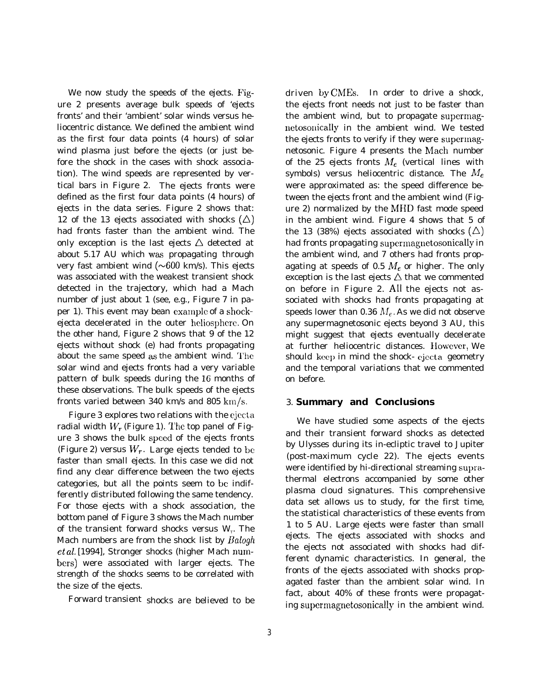We now study the speeds of the ejects. Figure 2 presents average bulk speeds of 'ejects fronts' and their 'ambient' solar winds versus heliocentric distance. We defined the ambient wind as the first four data points (4 hours) of solar wind plasma just before the ejects (or just before the shock in the cases with shock association). The wind speeds are represented by vertical bars in Figure 2. The ejects fronts were defined as the first four data points (4 hours) of ejects in the data series. Figure 2 shows that: 12 of the 13 ejects associated with shocks  $(\triangle)$ had fronts faster than the ambient wind. The only exception is the last ejects  $\triangle$  detected at about 5.17 AU which was propagating through very fast ambient wind  $(\sim 600 \text{ km/s})$ . This ejects was associated with the weakest transient shock detected in the trajectory, which had a Mach number of just about 1 (see, e.g., Figure 7 in paper 1). This event may bean example of a shockejecta decelerated in the outer heliosphere. On the other hand, Figure 2 shows that 9 of the 12 ejects without shock (e) had fronts propagating about the same speed as the ambient wind. '1'he solar wind and ejects fronts had a very variable pattern of bulk speeds during the 16 months of these observations. The bulk speeds of the ejects fronts varied between 340 km/s and 805 km/s.

Figure 3 explores two relations with the ejccta radial width  $W_r$  (Figure 1). The top panel of Figure 3 shows the bulk speed of the ejects fronts (Figure 2) versus  $W_r$ . Large ejects tended to be faster than small ejects. In this case we did not find any clear difference between the two ejects categories, but all the points seem to be indifferently distributed following the same tendency. For those ejects with a shock association, the bottom panel of Figure 3 shows the Mach number of the transient forward shocks versus  $W_r$  *The* Mach numbers are from the shock list by *Babgh et al. [1994],* Stronger shocks (higher Mach nunlbers) were associated with larger ejects. The strength of the shocks seems to be correlated with the size of the ejects.

Forward transient shocks are believed to be

driven by CMES. In order to drive a shock, the ejects front needs not just to be faster than the ambient wind, but to propagate supermagnetosonically in the ambient wind. We tested the ejects fronts to verify if they were supermagnetosonic. Figure 4 presents the Mach number of the 25 ejects fronts  $M_e$  (vertical lines with symbols) versus heliocentric distance. The  $M_e$ were approximated as: the speed difference between the ejects front and the ambient wind (Figure 2) normalized by the MHD fast mode speed in the ambient wind. Figure 4 shows that 5 of the 13 (38%) ejects associated with shocks  $(\triangle)$ had fronts propagating supermagnetosonically in the ambient wind, and 7 others had fronts propagating at speeds of 0.5  $M_e$  or higher. The only exception is the last ejects  $\triangle$  that we commented on before in Figure 2. All the ejects not associated with shocks had fronts propagating at speeds lower than 0.36  $M_e$ . As we did not observe any supermagnetosonic ejects beyond 3 AU, this might suggest that ejects eventually decelerate at further heliocentric distances. IIowever, We should keep in mind the shock- cjecta geometry and the temporal variations that we commented on before.

## 3. **Summary and Conclusions**

We have studied some aspects of the ejects and their transient forward shocks as detected by Ulysses during its in-ecliptic travel to Jupiter (post-maximum cycle 22). The ejects events were identified by hi-directional streaming suprathermal electrons accompanied by some other plasma cloud signatures. This comprehensive data set allows us to study, for the first time, the statistical characteristics of these events from 1 to 5 AU. Large ejects were faster than small ejects. The ejects associated with shocks and the ejects not associated with shocks had different dynamic characteristics. In general, the fronts of the ejects associated with shocks propagated faster than the ambient solar wind. In fact, about 40% of these fronts were propagating supermagnetosonically in the ambient wind.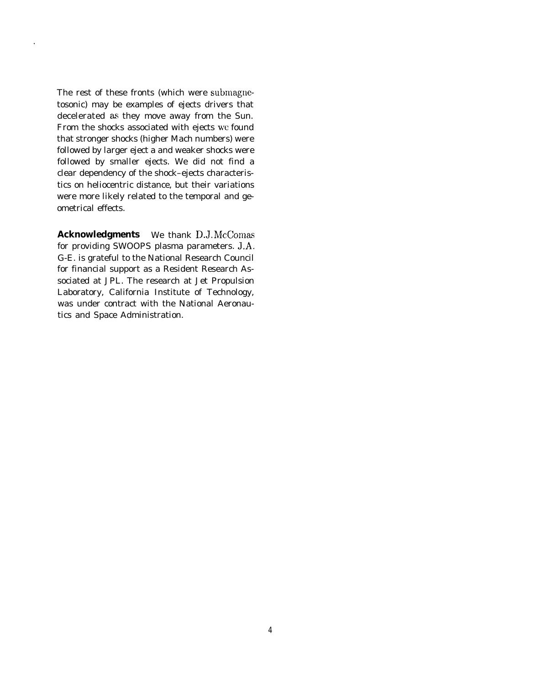The rest of these fronts (which were submagnetosonic) may be examples of ejects drivers that decelerated as they move away from the Sun. From the shocks associated with ejects wc found that stronger shocks (higher Mach numbers) were followed by larger eject a and weaker shocks were followed by smaller ejects. We did not find a clear dependency of the shock–ejects characteristics on heliocentric distance, but their variations were more likely related to the temporal and geometrical effects.

**Acknowledgments** We thank D.J. McComas for providing SWOOPS plasma parameters. J.A. G-E. is grateful to the National Research Council for financial support as a Resident Research Associated at JPL. The research at Jet Propulsion Laboratory, California Institute of Technology, was under contract with the National Aeronautics and Space Administration.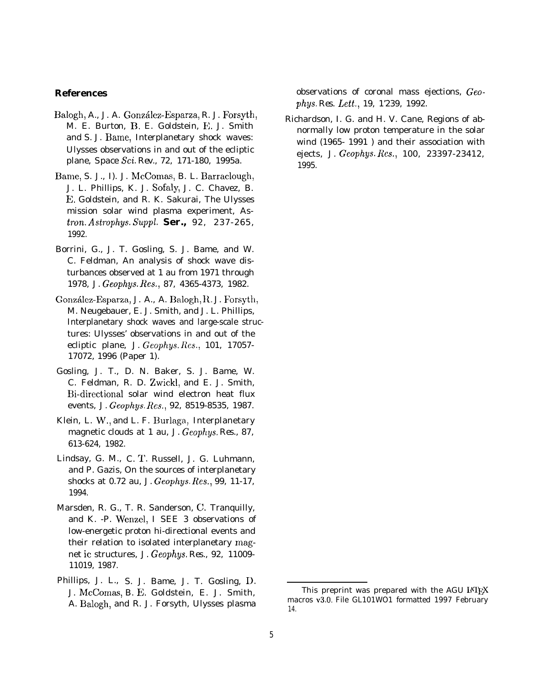#### **References**

- Balogh, A., J. A. Gonz61ez-Esparza, R. J. Forsyth, M. E. Burton, B. E. Goldstein, E. J. Smith and S. J. Bame, Interplanetary shock waves: Ulysses observations in and out of the ecliptic plane, *Space Sci. Rev.,* 72, 171-180, 1995a.
- Bame, S. J., I). J. McComas, B. L. Barraclough, J. L. Phillips, K. J. Sofaly, J. C. Chavez, B. E. Goldstein, and R. K. Sakurai, The Ulysses mission solar wind plasma experiment, *Astron. Astrophys. Suppl.* **Ser.,** 92, 237-265, 1992.
- Borrini, G., J. T. Gosling, S. J. Bame, and W. C. Feldman, An analysis of shock wave disturbances observed at 1 au from 1971 through 1978, *J. Geophgs. Res.,* 87, 4365-4373, 1982.
- González-Esparza, J. A., A. Balogh, R. J. Forsyth, M. Neugebauer, E. J. Smith, and J. L. Phillips, Interplanetary shock waves and large-scale structures: Ulysses' observations in and out of the ecliptic plane, *J. Geophys. Res., 101, 17057-* 17072, 1996 (Paper 1).
- Gosling, J. T., D. N. Baker, S. J. Bame, W. C. Feldman, R. D. Zwickl, and E. J. Smith, Bi-directional solar wind electron heat flux events, *J. Geophys. Res.,* 92, 8519-8535, 1987.
- Klein, L. W., and L. F. Burlaga, Interplanetary magnetic clouds at 1 au, *J. Geophys. Res.,* 87, 613-624, 1982.
- Lindsay, G. M., C. T. Russell, J. G. Luhmann, and P. Gazis, On the sources of interplanetary shocks at 0.72 au, *J. Geophys. Res.,* 99, 11-17, 1994.
- Marsden, R. G., T. R. Sanderson, C. Tranquilly, and K. -P. Wenzel, I SEE 3 observations of low-energetic proton hi-directional events and their relation to isolated interplanetary magnet ic structures, *J. Geophys. Res.,* 92, 11009- 11019, 1987.
- Phillips, J. L., S. J. Bame, J. T. Gosling, D. J. McComas, B. E. Goldstein, E. J. Smith, A. Balogh, and R. J. Forsyth, Ulysses plasma

observations of coronal mass ejections, Geo*phys. Res. Lett., 19, 1'239, 1992.*

Richardson, I. G. and H. V. Cane, Regions of abnormally low proton temperature in the solar wind (1965- 1991 ) and their association with ejects, *J. Geophys. Res., 100, 23397-23412,* 1995.

This preprint was prepared with the AGU  $M$ <sub>F</sub>X macros v3.O. File GL101WO1 formatted 1997 February 14.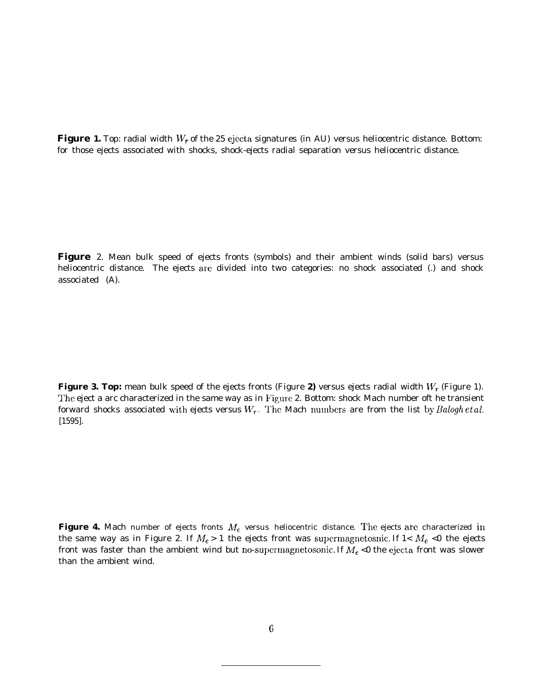**Figure 1.** Top: radial width *Wr* of the 25 ejccta signatures (in AU) versus heliocentric distance. Bottom: for those ejects associated with shocks, shock-ejects radial separation versus heliocentric distance.

**Figure** 2. Mean bulk speed of ejects fronts (symbols) and their ambient winds (solid bars) versus heliocentric distance. The ejects are divided into two categories: no shock associated (.) and shock associated (A).

**Figure 3. Top:** mean bulk speed of the ejects fronts (Figure **2)** versus ejects radial width *W.* (Figure 1). The eject a arc characterized in the same way as in Figure 2. Bottom: shock Mach number oft he transient forward shocks associated with ejects versus  $W_r$ . The Mach numbers are from the list by *Balogh et al. [1595].*

**Figure 4.** Mach number of ejects fronts  $M<sub>e</sub>$  versus heliocentric distance. The ejects are characterized in the same way as in Figure 2. If  $M_e > 1$  the ejects front was supermagnetosnic. If  $1 < M_e < 0$  the ejects front was faster than the ambient wind but no-supermagnetosonic. If  $M_e$  <0 the ejecta front was slower than the ambient wind.